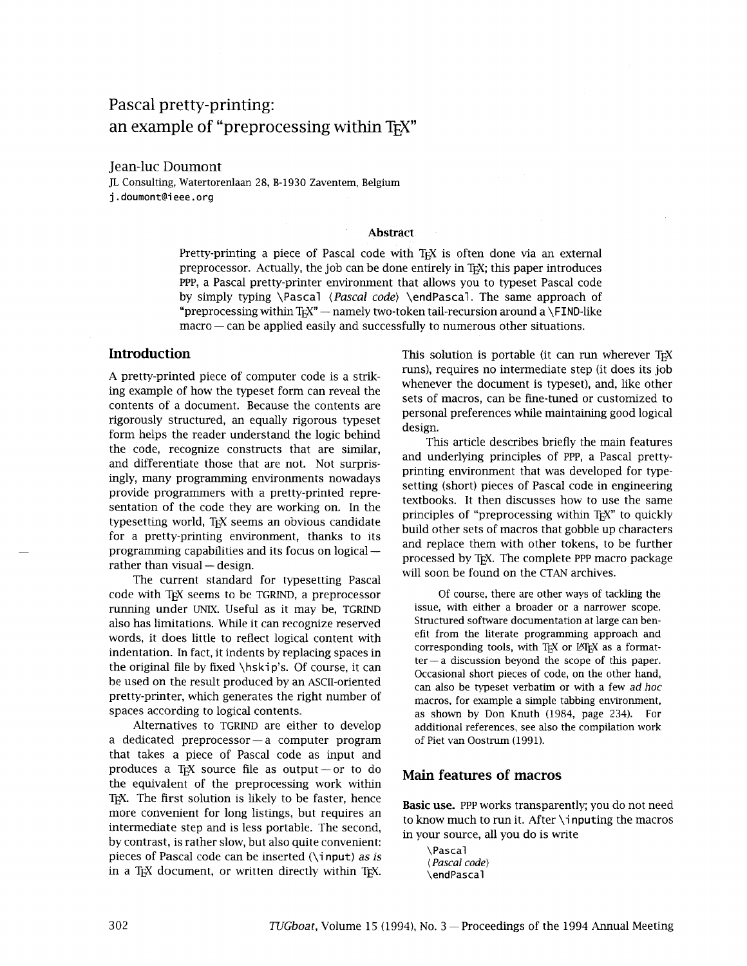# Pascal pretty-printing: an example of "preprocessing within TFX"

Jean-luc Doumont

JL Consulting, Watertorenlaan 28, B-1930 Zaventem, Belgium j . doumont@i eee. **org** 

#### **Abstract**

Pretty-printing a piece of Pascal code with TFX is often done via an external preprocessor. Actually, the job can be done entirely in TEX; this paper introduces PPP, a Pascal pretty-printer environment that allows you to typeset Pascal code by simply typing \Pascal  $\langle$  Pascal code) \endPascal. The same approach of "preprocessing within T<sub>E</sub>X" — namely two-token tail-recursion around a \FIND-like "preprocessing within T<sub>E</sub>X" — namely two-token tail-recursion around a \FIND-like macro — can be applied easily and successfully to numerous other situations.

A pretty-printed piece of computer code is a striking example of how the typeset form can reveal the contents of a document. Because the contents are rigorously structured, an equally rigorous typeset form helps the reader understand the logic behind the code, recognize constructs that are similar, and differentiate those that are not. Not surprisingly, many programming environments nowadays provide programmers with a pretty-printed representation of the code they are working on. In the typesetting world, TEX seems an obvious candidate for a pretty-printing environment, thanks to its programming capabilities and its focus on logical programming capabilities and its focus on logical  $-$  rather than visual  $-$  design.

The current standard for typesetting Pascal code with TEX seems to be TGRIND, a preprocessor running under UNIX. Useful as it may be, TGRIND also has limitations. While it can recognize reserved words, it does little to reflect logical content with indentation. In fact, it indents by replacing spaces in the original file by fixed \hski p's. Of course, it can be used on the result produced by an ASCII-oriented pretty-printer, which generates the right number of spaces according to logical contents.

Alternatives to TGRIND are either to develop a dedicated preprocessor  $-$  a computer program that takes a piece of Pascal code as input and produces a T<sub>F</sub>X source file as output  $-$  or to do the equivalent of the preprocessing work within TEX. The first solution is likely to be faster, hence more convenient for long listings, but requires an intermediate step and is less portable. The second, by contrast, is rather slow, but also quite convenient: pieces of Pascal code can be inserted  $(\iota)$  as is in a TEX document, or written directly within TEX.

**Introduction Introduction Introduction Introduction This solution is portable (it can run wherever TEX** runs), requires no intermediate step (it does its job whenever the document is typeset), and, like other sets of macros, can be fine-tuned or customized to personal preferences while maintaining good logical design.

> This article describes briefly the main features and underlying principles of PPP, a Pascal prettyprinting environment that was developed for typesetting (short) pieces of Pascal code in engineering textbooks. It then discusses how to use the same principles of "preprocessing within T<sub>EX</sub>" to quickly build other sets of macros that gobble up characters and replace them with other tokens, to be further processed by TEX. The complete PPP macro package will soon be found on the CTAN archives.

Of course, there are other ways of tackling the issue, with either a broader or a narrower scope. Structured software documentation at large can benefit from the literate programming approach and corresponding tools, with T<sub>E</sub>X or II<sup>T</sup>EX as a format-<br>ter — a discussion beyond the scope of this paper. Occasional short pieces of code, on the other hand, can also be typeset verbatim or with a few ad *hoc*  macros, for example a simple tabbing environment, as shown by Don Knuth (1984, page 234). For additional references, see also the compilation work of Piet van Oostrum (1991).

# **Main features of macros**

**Basic use.** PPP works transparently; you do not need<br>to know much to run it. After **\inputing the macros** in your source, all you do is write

\Pascal *(Pascal code)*  \endpascal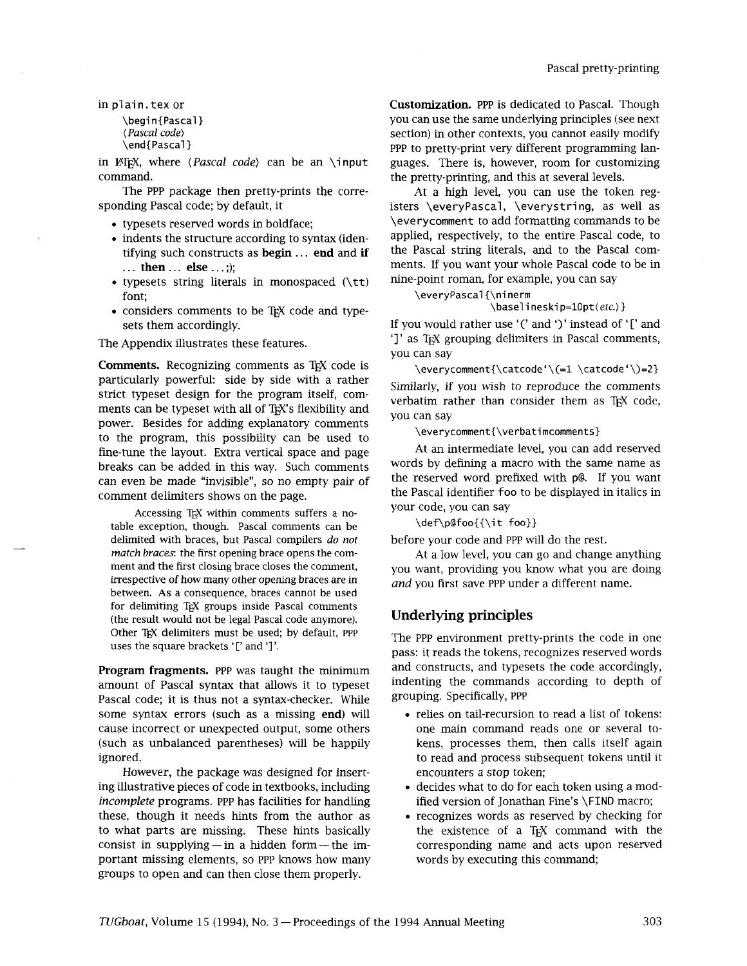in plain. tex or

\begin{Pascal} ( Pascal code) \end{Pascal }

in LATEX, where (Pascal *code)* can be an \input command.

The PPP package then pretty-prints the corresponding Pascal code; by default, it

- typesets reserved words in boldface;
- indents the structure according to syntax (identifying such constructs as begin . . . **end** and **if**  . . . **then..** . **else** . . .;);
- typesets string literals in monospaced  $(\tceil t t)$ font;
- considers comments to be TEX code and typesets them accordingly.

The Appendix illustrates these features.

**Comments.** Recognizing comments as T<sub>EX</sub> code is  $\text{verycomment}\text{}\text{}=\text{let}\text{}=\text{let}\text{}=\text{let}\text{}=\text{let}\text{}=\text{let}\text{}=\text{let}\text{}=\text{let}\text{}=\text{let}\text{}=\text{let}\text{}=\text{let}\text{}=\text{let}\text{}=\text{let}\text{}=\text{let}\text{}=\text{let}\text{}=\text{let}\text{}=\text{let}\text{}=\text{let}\text{}=\text{let}\text{}=\text{let}\text{}=\text{let}\$ particularly powerful: side by side with a rather Similarly, if you wish to reproduce the comments strict typeset design for the program itself, com- verbatim rather than consider them as TEX code, ments can be typeset with all of T<sub>F</sub>X's flexibility and power. Besides for adding explanatory comments Force: Besides for diding explanatory comments<br>to the program, this possibility can be used to<br>fine-tune the lavout Extra vertical space and page and the distribution of the section of the section of the section fine-tune the layout. Extra vertical space and page and here are a head in this way. Such comments and words by defining a macro with the same name as breaks can be added in this way. Such comments can even be made "invisible", so no empty pair of the reserved word prefixed with p@. If you want comment delimiters shows on the page.

Accessing TEX within comments suffers a notable exception, though. Pascal comments can be delimited with braces, but Pascal compilers do not match braces: the first opening brace opens the comment and the first closing brace closes the comment, irrespective of how many other opening braces are in between. As a consequence, braces cannot be used for delimiting T<sub>F</sub>X groups inside Pascal comments (the result would not be legal Pascal code anymore). Other TEX delimiters must be used; by default, PPP uses the square brackets '[' and ']'.

Program fragments. PPP was taught the minimum amount of Pascal syntax that allows it to typeset Pascal code; it is thus not a syntax-checker. While some syntax errors (such as a missing end) will cause incorrect or unexpected output, some others (such as unbalanced parentheses) will be happily ignored.

However, the package was designed for inserting illustrative pieces of code in textbooks, including *incomplete* programs. PPP has facilities for handling these, though it needs hints from the author as to what parts are missing. These hints basically consist in supplying — in a hidden form — the important missing elements, so PPP knows how many groups to open and can then close them properly.

**Customization.** PPP is dedicated to Pascal. Though you can use the same underlying principles (see next section) in other contexts, you cannot easily modify PPP to pretty-print very different programming languages. There is, however, room for customizing the pretty-printing, and this at several levels.

At a high level, you can use the token registers \everyPascal, \everystring, as well as \everycomment to add formatting commands to be applied, respectively, to the entire Pascal code, to the Pascal string literals, and to the Pascal comments. If you want your whole Pascal code to be in nine-point roman, for example, you can say

\everypascal {\ninerm

#### \baselineskip=10pt(etc.) }

If you would rather use '(' and ')' instead of '[' and ']' as T<sub>EX</sub> grouping delimiters in Pascal comments, YOU can say

you can say

the Pascal identifier foo to be displayed in italics in your code, you can say

\def\p@foo{{\it foo}}

before your code and PPP will do the rest.

At a low level, you can go and change anything you want, providing you know what you are doing and you first save PPP under a different name.

# **Underlying principles**

The PPP environment pretty-prints the code in one pass: it reads the tokens, recognizes reserved words and constructs, and typesets the code accordingly, indenting the commands according to depth of grouping. Specifically, PPP

- relies on tail-recursion to read a list of tokens: one main command reads one or several tokens, processes them, then calls itself again to read and process subsequent tokens until it encounters a stop token;
- decides what to do for each token using a modified version of Jonathan Fine's \FIND macro;
- recognizes words as reserved by checking for the existence of a TEX command with the corresponding name and acts upon reserved words by executing this command;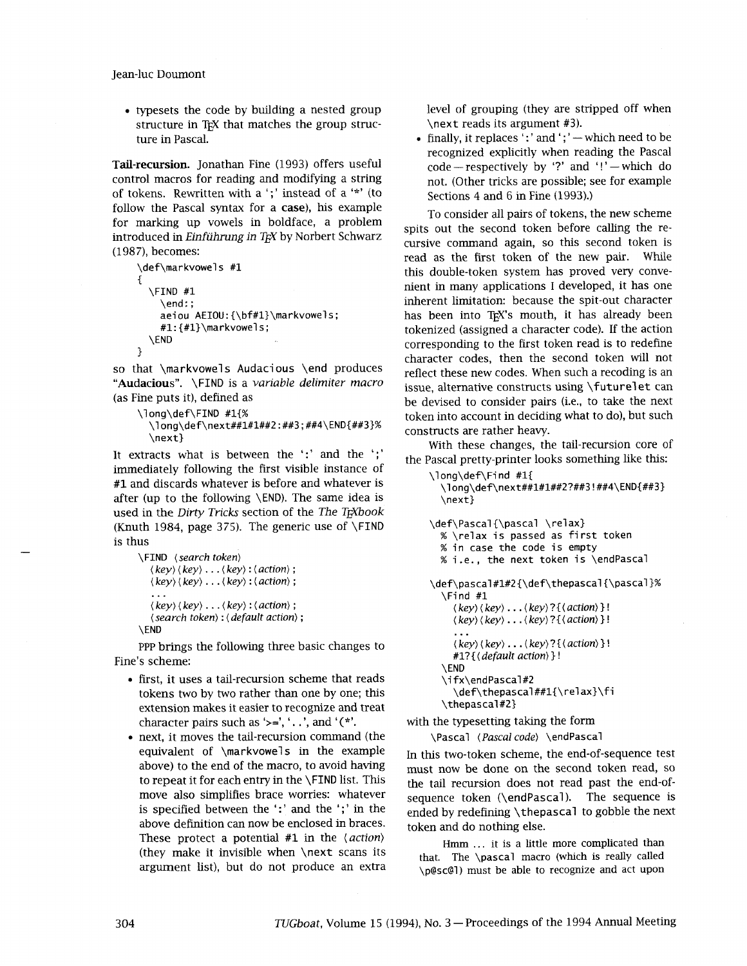Jean-luc Doumont

• typesets the code by building a nested group structure in T<sub>EX</sub> that matches the group structure in Pascal.

Tail-recursion. Jonathan Fine (1993) offers useful control macros for reading and modifying a string of tokens. Rewritten with a ';' instead of a '\*' (to follow the Pascal syntax for a case), his example for marking up vowels in boldface, a problem introduced in *Einführung in T<sub>F</sub>X* by Norbert Schwarz (1987), becomes:

```
\def\markvowels #1
1 
  \FIND #1 
    \end : ; 
    aeiou AEIOU:{\bf#l}\markvowels; 
    #1: {#l}\markvowel s ; 
  \END 
1
```
so that \markvowel s Audacious \end produces "Audacious". \FIND is a *variable delimiter macro* 

```
(as Fine puts it), defined as<br>
\longleftarrow \frac{41\%}{1000}\long\def\next##l#l##2:##3;##4\END{##3}% 
         \next}
```
It extracts what is between the ':' and the ';' immediately following the first visible instance of **#1** and discards whatever is before and whatever is after (up to the following \END). The same idea is used in the *Dirty Tricks* section of the *The TrXbook* (Knuth 1984, page 375). The generic use of  $\F1ND$ is thus

```
\FIND (search token) 
   ( key) (key) . . . ( key) : (action) ; 
    ( key) ( key) . . . (key) : (action) ; 
    \mathbf{r}.
   ( key) (key) . . . (key) : (action) ; 
   (search token) : (default action) ; 
\END
```
PPP brings the following three basic changes to Fine's scheme:

- first, it uses a tail-recursion scheme that reads tokens two by two rather than one by one; this extension makes it easier to recognize and treat character pairs such as '>=', '..', and '(\*'.
- next, it moves the tail-recursion command (the equivalent of \markvowels in the example above) to the end of the macro, to avoid having to repeat it for each entry in the \FIND list. This move also simplifies brace worries: whatever is specified between the ':' and the ';' in the above definition can now be enclosed in braces. These protect a potential **#1** in the *(action)*  (they make it invisible when \next scans its argument list), but do not produce an extra

level of grouping (they are stripped off when \next reads its argument **#3).** 

 $\bullet$  finally, it replaces ':' and ';' - which need to be recognized explicitly when reading the Pascal code - respectively by '?' and '!' - which do not. (Other tricks are possible; see for example Sections 4 and 6 in Fine (1993).)

To consider all pairs of tokens, the new scheme spits out the second token before calling the recursive command again, so this second token is read as the first token of the new pair. While this double-token system has proved very convenient in many applications I developed, it has one inherent limitation: because the spit-out character has been into TEX's mouth, it has already been tokenized (assigned a character code). If the action corresponding to the first token read is to redefine character codes, then the second token will not reflect these new codes. When such a recoding is an issue, alternative constructs using \futurelet can be devised to consider pairs (i.e., to take the next token into account in deciding what to do), but such constructs are rather heavy.

With these changes, the tail-recursion core of the Pascal pretty-printer looks something like this:

```
\l ong\def\Fi nd #1{ 
  \long\def\next##l#l##2?##3!##4\END{##3} 
  \next} 
\def\Pascal{\pascal \relax}
```

```
% \relax is passed as first token 
  % in case the code is empty 
 % i.e., the next token is \endpascal 
\def\pascal#l#2{\def\thepascal{\pascal}% 
  \Find #1 
    ( k e y ) ( k e y ) . . . (key)?{(action) } ! 
     (key) ( key) . . . (key) ?{(action) } ! 
     \cdots( key) ( key) . . . ( key) ? ( action) } ! 
    #I?{ ( default action) } ! 
  \END 
  \i fx\endPascal#2 
     \def\thepascal##1{\relax}\fi
  \thepascal#2}
```
with the typesetting taking the form

\Pascal *(Pascal code)* \endpascal

In this two-token scheme, the end-of-sequence test must now be done on the second token read, so the tad recursion does not read past the end-ofsequence token (\endPascal). The sequence is ended by redefining \thepascal to gobble the next token and do nothing else.

Hmm ... it is a little more complicated than that. The \pascal macro (which is really called \p@sc@l) must be able to recognize and act upon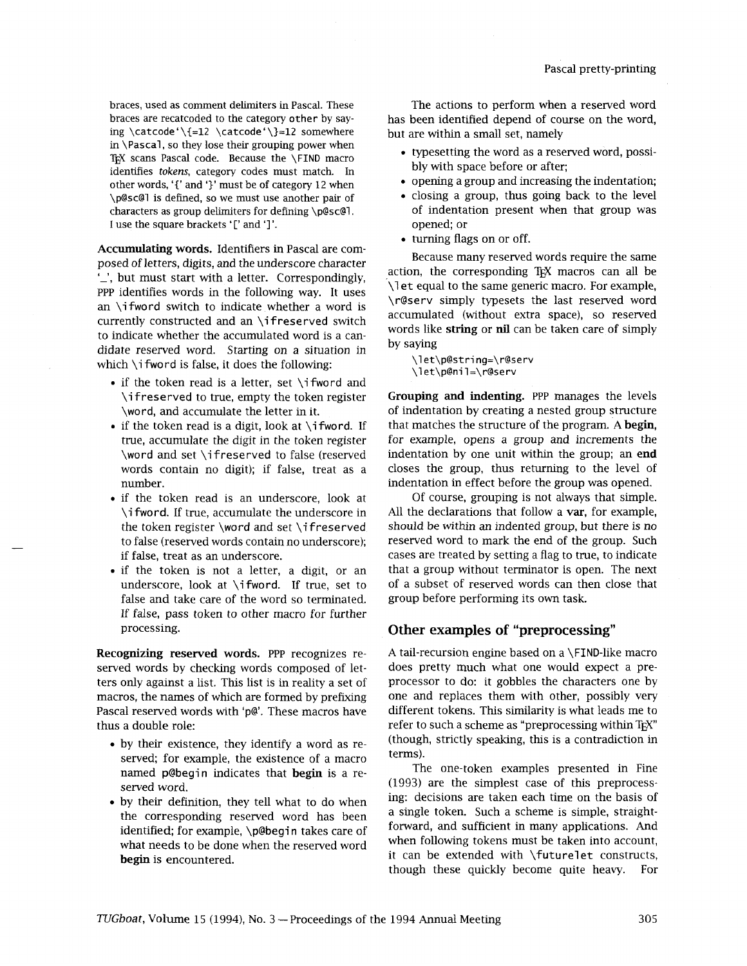ing \catcode'\{=12 \catcode'\}=12 somewhere in \Pascal, so they lose their grouping power when TEX scans Pascal code. Because the \FIND macro identifies *tokens*, category codes must match. In bly with space before or after; other words, '{' and '}' must be of category 12 when **opening a group and increasing the indentation;**<br>
\p@sc@1 is defined, so we must use another pair of **opening a group**, thus going back to the level characters as group delimiters for defining  $\log$ sc@l. I use the square brackets '[' and ']'. The contract opened; or  $\blacksquare$ 

**Accumulating words.** Identifiers **in** Pascal are composed of letters, digits, and the underscore character **I-',** but must start with a letter. Correspondingly, PPP identifies words in the following way. It uses an \ifword switch to indicate whether a word is currently constructed and an \if reserved switch to indicate whether the accumulated word is a candidate reserved word. Starting on a situation in which \i fword is false, it does the following:

- $\bullet$  if the token read is a letter, set \ifword and \if reserved to true, empty the token register \word, and accumulate the letter in it.
- if the token read is a digit, look at  $\iota$  fword. If true, accumulate the digit in the token register \word and set \ifreserved to false (reserved words contain no digit); if false, treat as a number.
- if the token read is an underscore, look at \i fword. If true, accumulate the underscore in the token register \word and set \i <sup>f</sup>reserved to false (reserved words contain no underscore); if false, treat as an underscore.
- if the token is not a letter, a digit, or an underscore, look at \ifword. If true, set to false and take care of the word so terminated. If false, pass token to other macro for further processing.

**Recognizing reserved words.** PPP recognizes reserved words by checking words composed of letters only against a list. This list is in reality a set of macros, the names of which are formed by prefixing Pascal reserved words with 'p@'. These macros have thus a double role:

- by their existence, they identify a word as reserved; for example, the existence of a macro named pebegin indicates that **begin** is a reserved word.
- by their definition, they tell what to do when the corresponding reserved word has been identified; for example, \p@begin takes care of what needs to be done when the reserved word **begin** is encountered.

braces, used as comment delimiters in Pascal. These The actions to perform when a reserved word braces are recatcoded to the category other by say-<br>ing \catcode'\{=12 \catcode'\}=12 somewhere but are within a small set, namely

- typesetting the word as a reserved word, possi-
- 
- closing a group, thus going back to the level<br>of indentation present when that group was
- turning flags on or off.

Because many reserved words require the same action, the corresponding T<sub>EX</sub> macros can all be \let equal to the same generic macro. For example, \r@serv simply typesets the last reserved word accumulated (without extra space), so reserved words like **string** or nil can be taken care of simply by saying

\l et\p@stri ng=\r@serv \l et\p@ni l=\r@serv

**Grouping and indenting.** PPP manages the levels of indentation by creating a nested group structure that matches the structure of the program. A **begin,**  for example, opens a group and increments the indentation by one unit within the group; an **end**  closes the group, thus returning to the level of indentation in effect before the group was opened.

Of course, grouping is not always that simple. All the declarations that follow a **var,** for example, should be within an indented group, but there is no reserved word to mark the end of the group. Such cases are treated by setting a flag to true, to indicate that a group without terminator is open. The next of a subset of reserved words can then close that group before performing its own task.

# **Other examples of "preprocessing"**

A tail-recursion engine based on a \FIND-like macro does pretty much what one would expect a preprocessor to do: it gobbles the characters one by one and replaces them with other, possibly very different tokens. This similarity is what leads me to refer to such a scheme as "preprocessing within TFX" (though, strictly speaking, this is a contradiction in terms).

The one-token examples presented in Fine (1993) are the simplest case of this preprocessing: decisions are taken each time on the basis of a single token. Such a scheme is simple, straightforward, and sufficient in many applications. And when following tokens must be taken into account, it can be extended with \futurelet constructs, though these quickly become quite heavy. For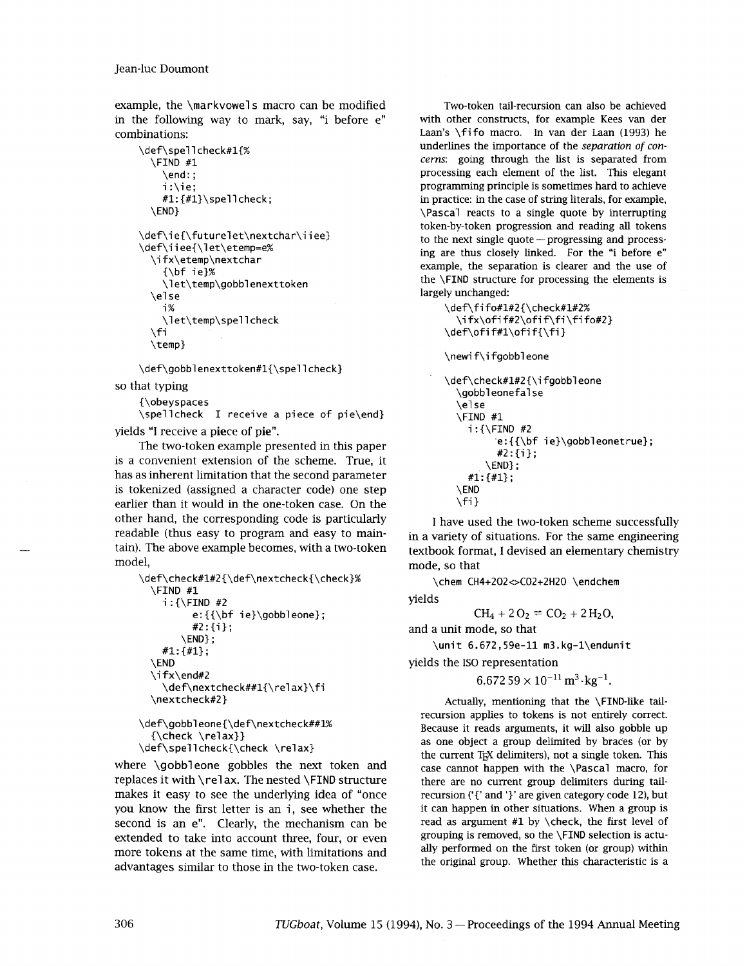example, the \markvowel s macro can be modified in the following way to mark, say, "i before e" combinations:

```
\def\spellcheck#l{% 
  \FIND #1 
    \end: ; 
    i :\ie; 
    #1:\{#1\}\spellcheck;
  \END} 
\def\ie{\futurelet\nextchar\iiee}
\def\iiee{\let\etemp=e%
  \ifx\etemp\nextchar
    \{\b{}f\ ie}%
    \let\temp\gobblenexttoken
  \else
    i%
    \let\temp\spellcheck
  \fi
  \temp}
```
\def\gobblenexttoken#1{\spellcheck}

so that typing

{\obeyspaces

\spell check I receive a piece of pie\end} yields "I receive a piece of pie".

The two-token example presented in this paper is a convenient extension of the scheme. True, it has as inherent limitation that the second parameter is tokenized (assigned a character code) one step earlier than it would in the one-token case. On the other hand, the corresponding code is particularly readable (thus easy to program and easy to maintain). The above example becomes, with a two-token model,

```
\def\check#l#2{\def\nextcheck{\check}% 
  \FIND #1 
    i : {\FIND #2 
          e:{\{\bf b} \neq i \neq j\} e:
          #2:{i}; 
        \END} ; 
    #I: {#I} ; 
  \END 
  \ifx\end#2
    \def\nextcheck##1{\relax}\fi
  \nextcheck#2}
```

```
\def\gobbleone{\def\nextcheck##l% 
 {\check \relax}} 
\def\spellcheck{\check \relax}
```
where \gobbleone gobbles the next token and replaces it with \re1 ax. The nested **\FIND** structure makes it easy to see the underlying idea of "once<br>you know the first letter is an i, see whether the second is an e". Clearly, the mechanism can be extended to take into account three, four, or even more tokens at the same time, with limitations and advantages similar to those in the two-token case.

Two-token tail-recursion can also be achieved with other constructs, for example Kees van der Laan's \fifo macro. In van der Laan (1993) he underlines the importance of the *separation of concerns:* going through the list is separated from processing each element of the list. This elegant programming principle is sometimes hard to achieve in practice: in the case of string literals, for example, \Pascal reacts to a single quote by interrupting token-by-token progression and reading all tokens to the next single quote - progressing and processing are thus closely linked. For the "i before e" example, the separation is clearer and the use of the \FIND structure for processing the elements is largely unchanged:

\def\fifo#l#2{\check#1#2%  $\iint x\of i f#2\of i f \fi$ fi {fi fo#2}  $\def\of{#1\of}iff$ 

\newi f\i fgobbl eone

```
\def\check#1#2{\if gobbleone
  \gobbl eonefal se 
  \else 
  \FIND #1 
    i:{\FIND #2 
          e: {\{\bf bf ie}\qobbleonetrule};#2: {i};
        \END ;
    #I: {#I} ; 
  \END 
  \forallfil
```
I have used the two-token scheme successfully in a variety of situations. For the same engineering textbook format, I devised an elementary chemistry mode, so that

\chem CH4+202<>C02+2H2O \endchem

yields

 $CH_4 + 2O_2 = CO_2 + 2H_2O$ 

and a unit mode, so that

\unit 6.672,59e-11 m3.kg-l\endunit

yields the IS0 representation

 $6.672\,59\times 10^{-11}\,\mathrm{m}^3\!\cdot\!\mathrm{kg}^{-1}.$ 

Actually, mentioning that the \FIND-like tailrecursion applies to tokens is not entirely correct. Because it reads arguments, it will also gobble up as one object a group delimited by braces (or by the current T<sub>F</sub>X delimiters), not a single token. This case cannot happen with the \Pascal macro, for there are no current group delimiters during tailrecursion ('{' and '}' are given category code **12),** but it can happen in other situations. When a group is read as argument  $#1$  by \check, the first level of grouping is removed, so the \FIND selection is actually performed on the first token (or group) within the original group. Whether this characteristic is a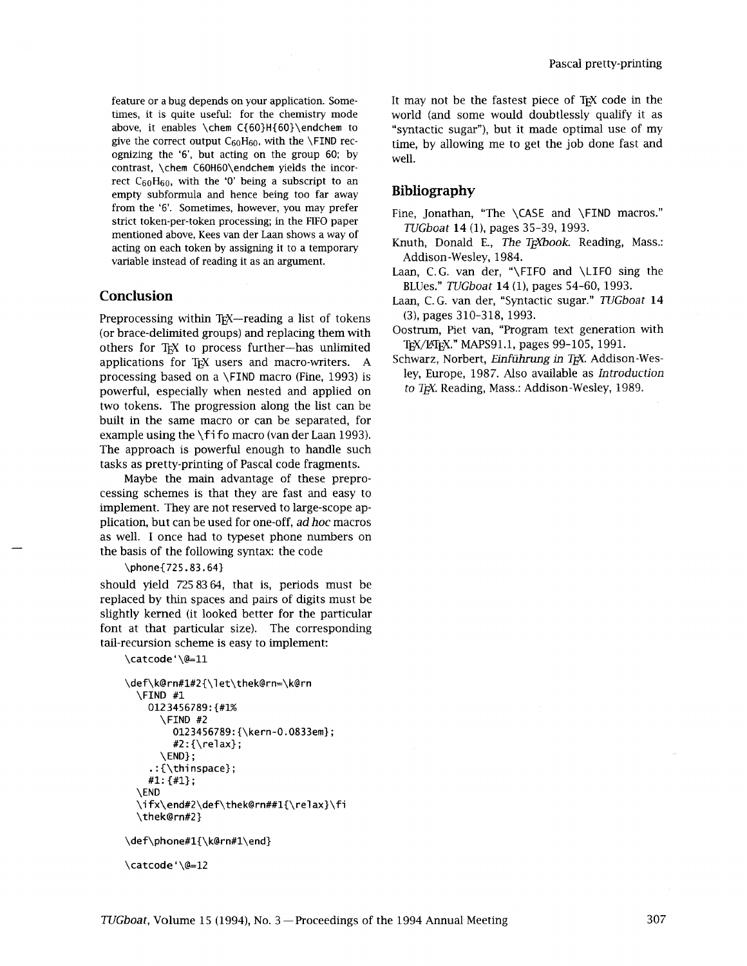ognizing the '6', but acting on the group 60; by  $well$ contrast, \chem C60H60\endchem yields the incorrect  $C_{60}H_{60}$ , with the '0' being a subscript to an empty subformula and hence being too far away **Bibliography**  from the '6'. Sometimes, however, you may prefer  $\frac{1}{100}$  Fine, Jonathan, "The \CASE and \FIND macros." strict token-per-token processing; in the FIFO paper  $\frac{1}{100}$  and  $\frac{1}{4}$  (1), pages 35-39, 1993. mentioned above, Kees van der Laan shows a way of variable instead of reading it as an argument.

# **Conclusion**

Preprocessing within T<sub>EX</sub>—reading a list of tokens (or brace-delimited groups) and replacing them with others for T<sub>F</sub>X to process further-has unlimited applications for TEX users and macro-writers. A processing based on a \FIND macro (Fine, 1993) is powerful, especially when nested and applied on two tokens. The progression along the list can be built in the same macro or can be separated, for example using the \fi fo macro (van der Laan 1993). The approach is powerful enough to handle such tasks as pretty-printing of Pascal code fragments.

Maybe the main advantage of these preprocessing schemes is that they are fast and easy to implement. They are not reserved to large-scope application, but can be used for one-off, *ad hoc* macros as well. I once had to typeset phone numbers on the basis of the following syntax: the code

### \phone{725.83.64}

should yield 725 83 64, that is, periods must be replaced by thin spaces and pairs of digits must be slightly kerned (it looked better for the particular font at that particular size). The corresponding tail-recursion scheme is easy to implement:

```
\catcode'\@=11
```

```
\def\k@rn#l#2{\let\thek@rn=\k@rn 
  \FIND #1 
    0123456789:{#1% 
      \FIND #2 
         0123456789:{\kern-0.0833em}; 
         #2:{\text{real}};
       \END} ; 
    \cdot: {\thinspace};
    #l: {#l} ; 
  \END 
  \i fx\end#2\def\thek@rn##l{\rel ax}\f i 
  \thek@rn#2} 
\def\phone#1{\k@rn#1\end}
```

```
\catcode'\@=12
```
feature or a bug depends on your application. Some-<br>times, it is quite useful: for the chemistry mode world (and some would doubtlessly qualify it as times, it is quite useful: for the chemistry mode world (and some would doubtlessly qualify it as above, it enables \chem C{60}H{60}\endchem to "syntactic sugar"), but it made optimal use of my above, it enables  $\ch{60}H{60}\end{cm}$  to "syntactic sugar"), but it made optimal use of my give the correct output  $C_{60}H_{60}$ , with the  $\F{IND}$  rec-<br>time by allowing me to get the iob done fast and time, by allowing me to get the job done fast and

- acting on each token by assigning it to a temporary Knuth, Donald E., *The T<sub>E</sub>Xbook*. Reading, Mass.:<br>
xariable instead of reading it as an argument Addison-Wesley, 1984.
	- Laan, C.G. van der, "\FIFO and \LIFO sing the BLUes." *TUGboat* **14** (I), pages 54-60, 1993.
	- Laan, C. G. van der, "Syntactic sugar." *TUGboat* **14 (3),** pages 310-318, 1993.
	- Oostrum, Piet van, "Program text generation with TEX/LATEX." MAPS91.1, pages 99-105, 1991.
	- Schwarz, Norbert, *Einführung in TEX*. Addison-Wesley, Europe, 1987. Also available as *Introduction*  to T<sub>F</sub>X. Reading, Mass.: Addison-Wesley, 1989.